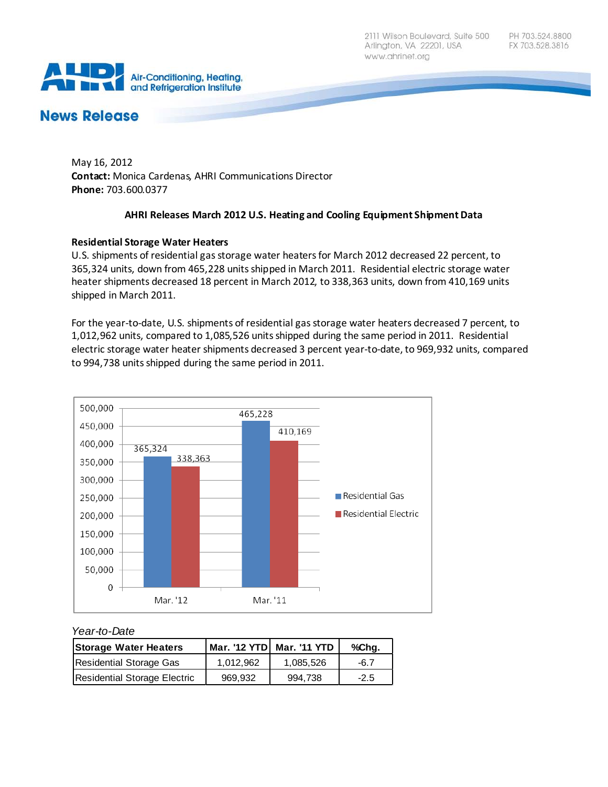2111 Wilson Boulevard, Suite 500 Arlington, VA 22201, USA www.ahrinet.org



# **News Release**

May 16, 2012 **Contact:** Monica Cardenas, AHRI Communications Director **Phone:** 703.600.0377

## **AHRI Releases March 2012 U.S. Heating and Cooling Equipment Shipment Data**

## **Residential Storage Water Heaters**

U.S. shipments of residential gas storage water heaters for March 2012 decreased 22 percent, to 365,324 units, down from 465,228 units shipped in March 2011. Residential electric storage water heater shipments decreased 18 percent in March 2012, to 338,363 units, down from 410,169 units shipped in March 2011.

For the year-to-date, U.S. shipments of residential gas storage water heaters decreased 7 percent, to 1,012,962 units, compared to 1,085,526 units shipped during the same period in 2011. Residential electric storage water heater shipments decreased 3 percent year-to-date, to 969,932 units, compared to 994,738 units shipped during the same period in 2011.



#### *Year-to-Date*

| <b>Storage Water Heaters</b> |           | Mar. '12 YTD Mar. '11 YTD | %Chq.  |
|------------------------------|-----------|---------------------------|--------|
| Residential Storage Gas      | 1.012.962 | 1.085.526                 | -6.7   |
| Residential Storage Electric | 969.932   | 994.738                   | $-2.5$ |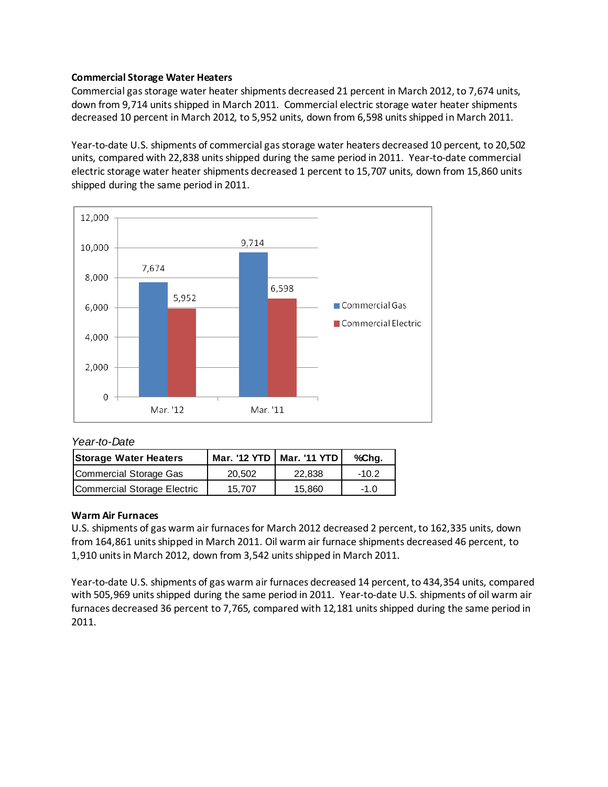### **Commercial Storage Water Heaters**

Commercial gas storage water heater shipments decreased 21 percent in March 2012, to 7,674 units, down from 9,714 units shipped in March 2011. Commercial electric storage water heater shipments decreased 10 percent in March 2012, to 5,952 units, down from 6,598 units shipped in March 2011.

Year-to-date U.S. shipments of commercial gas storage water heaters decreased 10 percent, to 20,502 units, compared with 22,838 units shipped during the same period in 2011. Year-to-date commercial electric storage water heater shipments decreased 1 percent to 15,707 units, down from 15,860 units shipped during the same period in 2011.



### *Year-to-Date*

| <b>Storage Water Heaters</b> |        | Mar. '12 YTD   Mar. '11 YTD | %Chg.   |
|------------------------------|--------|-----------------------------|---------|
| Commercial Storage Gas       | 20.502 | 22,838                      | $-10.2$ |
| Commercial Storage Electric  | 15.707 | 15.860                      | $-1.0$  |

### **Warm Air Furnaces**

U.S. shipments of gas warm air furnaces for March 2012 decreased 2 percent, to 162,335 units, down from 164,861 units shipped in March 2011. Oil warm air furnace shipments decreased 46 percent, to 1,910 units in March 2012, down from 3,542 units shipped in March 2011.

Year-to-date U.S. shipments of gas warm air furnaces decreased 14 percent, to 434,354 units, compared with 505,969 units shipped during the same period in 2011. Year-to-date U.S. shipments of oil warm air furnaces decreased 36 percent to 7,765, compared with 12,181 units shipped during the same period in 2011.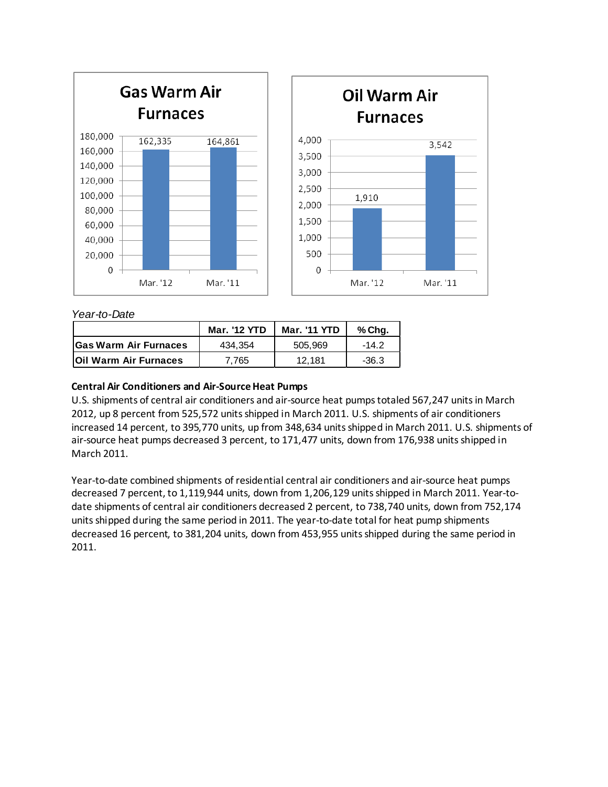

## *Year-to-Date*

|                              | <b>Mar. '12 YTD</b> | <b>Mar. '11 YTD</b> | % Chq. |
|------------------------------|---------------------|---------------------|--------|
| <b>Gas Warm Air Furnaces</b> | 434.354             | 505.969             | -14 2  |
| <b>Oil Warm Air Furnaces</b> | 7.765               | 12.181              | -36.3  |

## **Central Air Conditioners and Air-Source Heat Pumps**

U.S. shipments of central air conditioners and air-source heat pumps totaled 567,247 units in March 2012, up 8 percent from 525,572 units shipped in March 2011. U.S. shipments of air conditioners increased 14 percent, to 395,770 units, up from 348,634 units shipped in March 2011. U.S. shipments of air-source heat pumps decreased 3 percent, to 171,477 units, down from 176,938 units shipped in March 2011.

Year-to-date combined shipments of residential central air conditioners and air-source heat pumps decreased 7 percent, to 1,119,944 units, down from 1,206,129 units shipped in March 2011. Year-todate shipments of central air conditioners decreased 2 percent, to 738,740 units, down from 752,174 units shipped during the same period in 2011. The year-to-date total for heat pump shipments decreased 16 percent, to 381,204 units, down from 453,955 units shipped during the same period in 2011.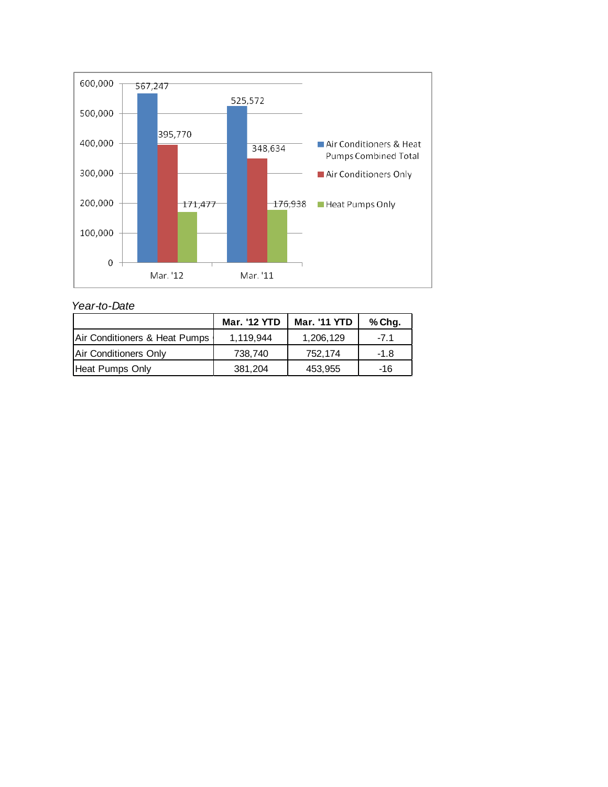

*Year-to-Date*

|                               | <b>Mar. '12 YTD</b> | <b>Mar. '11 YTD</b> | % Chg. |
|-------------------------------|---------------------|---------------------|--------|
| Air Conditioners & Heat Pumps | 1.119.944           | 1,206,129           | -71    |
| Air Conditioners Only         | 738,740             | 752.174             | $-1.8$ |
| Heat Pumps Only               | 381,204             | 453,955             | -16    |